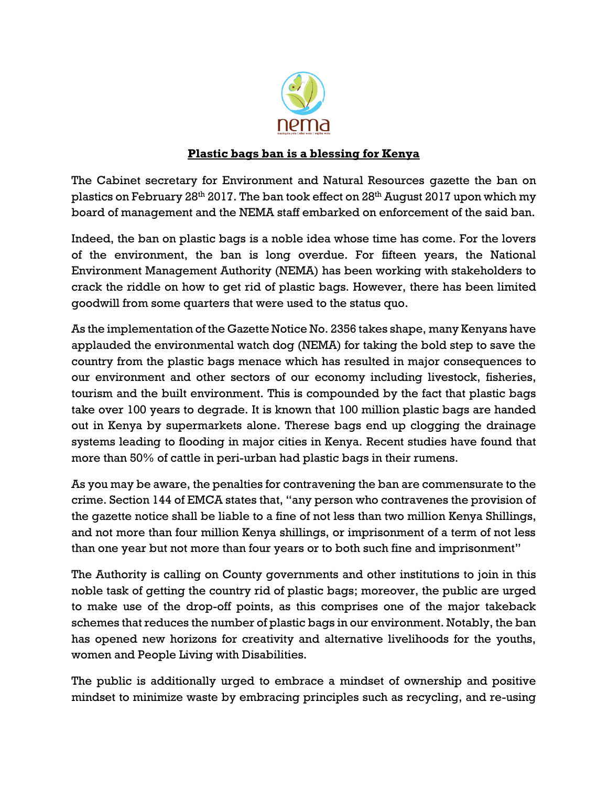

## **Plastic bags ban is a blessing for Kenya**

The Cabinet secretary for Environment and Natural Resources gazette the ban on plastics on February 28th 2017. The ban took effect on 28th August 2017 upon which my board of management and the NEMA staff embarked on enforcement of the said ban.

Indeed, the ban on plastic bags is a noble idea whose time has come. For the lovers of the environment, the ban is long overdue. For fifteen years, the National Environment Management Authority (NEMA) has been working with stakeholders to crack the riddle on how to get rid of plastic bags. However, there has been limited goodwill from some quarters that were used to the status quo.

As the implementation of the Gazette Notice No. 2356 takes shape, many Kenyans have applauded the environmental watch dog (NEMA) for taking the bold step to save the country from the plastic bags menace which has resulted in major consequences to our environment and other sectors of our economy including livestock, fisheries, tourism and the built environment. This is compounded by the fact that plastic bags take over 100 years to degrade. It is known that 100 million plastic bags are handed out in Kenya by supermarkets alone. Therese bags end up clogging the drainage systems leading to flooding in major cities in Kenya. Recent studies have found that more than 50% of cattle in peri-urban had plastic bags in their rumens.

As you may be aware, the penalties for contravening the ban are commensurate to the crime. Section 144 of EMCA states that, "any person who contravenes the provision of the gazette notice shall be liable to a fine of not less than two million Kenya Shillings, and not more than four million Kenya shillings, or imprisonment of a term of not less than one year but not more than four years or to both such fine and imprisonment"

The Authority is calling on County governments and other institutions to join in this noble task of getting the country rid of plastic bags; moreover, the public are urged to make use of the drop-off points, as this comprises one of the major takeback schemes that reduces the number of plastic bags in our environment. Notably, the ban has opened new horizons for creativity and alternative livelihoods for the youths, women and People Living with Disabilities.

The public is additionally urged to embrace a mindset of ownership and positive mindset to minimize waste by embracing principles such as recycling, and re-using